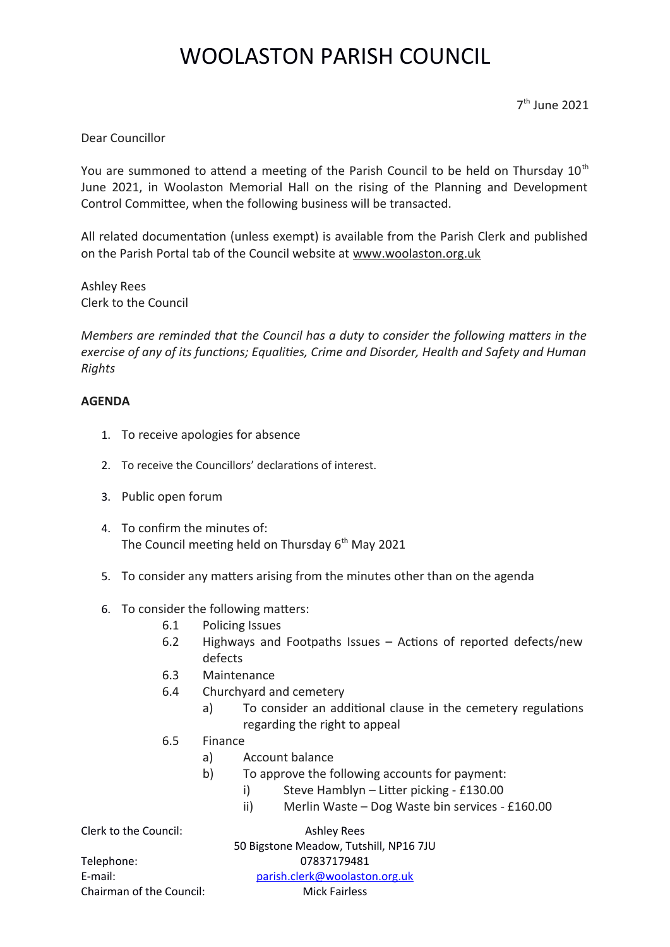## WOOLASTON PARISH COUNCIL

7 th June 2021

Dear Councillor

You are summoned to attend a meeting of the Parish Council to be held on Thursday  $10<sup>th</sup>$ June 2021, in Woolaston Memorial Hall on the rising of the Planning and Development Control Committee, when the following business will be transacted.

All related documentaton (unless exempt) is available from the Parish Clerk and published on the Parish Portal tab of the Council website at www.woolaston.org.uk

Ashley Rees Clerk to the Council

*Members are reminded that the Council has a duty to consider the following maters in the exercise of any of its functons; Equalitess Crime and Disorders Health and Safety and Human Rights*

## **AGENDA**

- 1. To receive apologies for absence
- 2. To receive the Councillors' declarations of interest.
- 3. Public open forum
- 4. To confrm the minutes of: The Council meeting held on Thursday  $6<sup>th</sup>$  May 2021
- 5. To consider any matters arising from the minutes other than on the agenda
- 6. To consider the following matters:
	- 6.1 Policing Issues
	- 6.2 Highways and Footpaths Issues  $-$  Actions of reported defects/new defects
	- 6.3 Maintenance
	- 6.4 Churchyard and cemetery
		- a) To consider an additional clause in the cemetery regulations regarding the right to appeal
	- 6.5 Finance
		- a) Account balance
		- b) To approve the following accounts for payment:
			- $i)$  Steve Hamblyn Litter picking £130.00
			- ii) Merlin Waste Dog Waste bin services  $£160.00$

Clerk to the Council: Ashley Rees

50 Bigstone Meadow, Tutshill, NP16 7JU

Chairman of the Council: Mick Fairless

Telephone: 07837179481 E-mail: parish.clerk@woolaston.org.uk